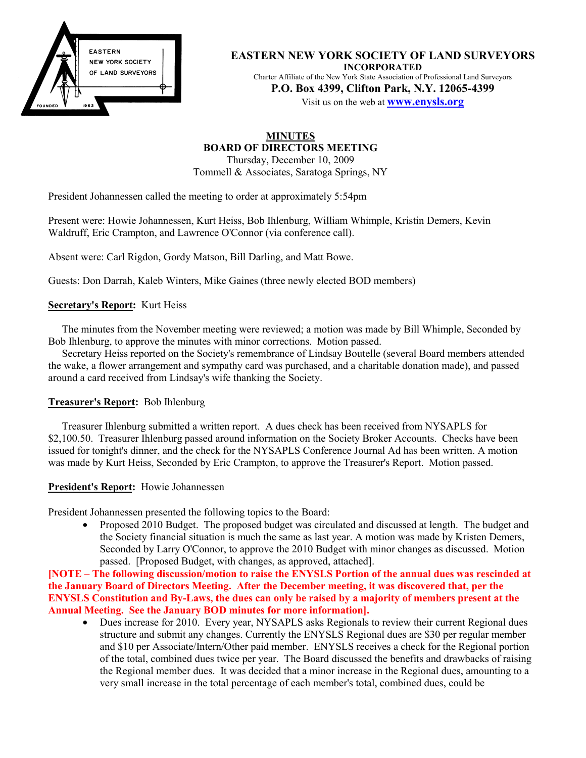

**EASTERN NEW YORK SOCIETY OF LAND SURVEYORS INCORPORATED** Charter Affiliate of the New York State Association of Professional Land Surveyors **P.O. Box 4399, Clifton Park, N.Y. 12065-4399**

Visit us on the web at **www.enysls.org**

# **MINUTES BOARD OF DIRECTORS MEETING**

Thursday, December 10, 2009 Tommell & Associates, Saratoga Springs, NY

President Johannessen called the meeting to order at approximately 5:54pm

Present were: Howie Johannessen, Kurt Heiss, Bob Ihlenburg, William Whimple, Kristin Demers, Kevin Waldruff, Eric Crampton, and Lawrence O'Connor (via conference call).

Absent were: Carl Rigdon, Gordy Matson, Bill Darling, and Matt Bowe.

Guests: Don Darrah, Kaleb Winters, Mike Gaines (three newly elected BOD members)

### **Secretary's Report:** Kurt Heiss

The minutes from the November meeting were reviewed; a motion was made by Bill Whimple, Seconded by Bob Ihlenburg, to approve the minutes with minor corrections. Motion passed.

Secretary Heiss reported on the Society's remembrance of Lindsay Boutelle (several Board members attended the wake, a flower arrangement and sympathy card was purchased, and a charitable donation made), and passed around a card received from Lindsay's wife thanking the Society.

### **Treasurer's Report:** Bob Ihlenburg

Treasurer Ihlenburg submitted a written report. A dues check has been received from NYSAPLS for \$2,100.50. Treasurer Ihlenburg passed around information on the Society Broker Accounts. Checks have been issued for tonight's dinner, and the check for the NYSAPLS Conference Journal Ad has been written. A motion was made by Kurt Heiss, Seconded by Eric Crampton, to approve the Treasurer's Report. Motion passed.

### **President's Report:** Howie Johannessen

President Johannessen presented the following topics to the Board:

• Proposed 2010 Budget. The proposed budget was circulated and discussed at length. The budget and the Society financial situation is much the same as last year. A motion was made by Kristen Demers, Seconded by Larry O'Connor, to approve the 2010 Budget with minor changes as discussed. Motion passed. [Proposed Budget, with changes, as approved, attached].

**[NOTE – The following discussion/motion to raise the ENYSLS Portion of the annual dues was rescinded at the January Board of Directors Meeting. After the December meeting, it was discovered that, per the ENYSLS Constitution and By-Laws, the dues can only be raised by a majority of members present at the Annual Meeting. See the January BOD minutes for more information].**

• Dues increase for 2010. Every year, NYSAPLS asks Regionals to review their current Regional dues structure and submit any changes. Currently the ENYSLS Regional dues are \$30 per regular member and \$10 per Associate/Intern/Other paid member. ENYSLS receives a check for the Regional portion of the total, combined dues twice per year. The Board discussed the benefits and drawbacks of raising the Regional member dues. It was decided that a minor increase in the Regional dues, amounting to a very small increase in the total percentage of each member's total, combined dues, could be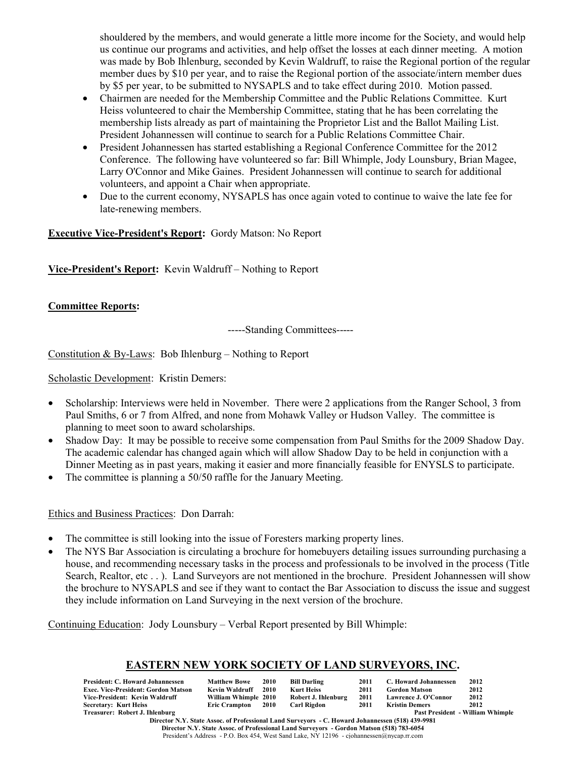shouldered by the members, and would generate a little more income for the Society, and would help us continue our programs and activities, and help offset the losses at each dinner meeting. A motion was made by Bob Ihlenburg, seconded by Kevin Waldruff, to raise the Regional portion of the regular member dues by \$10 per year, and to raise the Regional portion of the associate/intern member dues by \$5 per year, to be submitted to NYSAPLS and to take effect during 2010. Motion passed.

- Chairmen are needed for the Membership Committee and the Public Relations Committee. Kurt Heiss volunteered to chair the Membership Committee, stating that he has been correlating the membership lists already as part of maintaining the Proprietor List and the Ballot Mailing List. President Johannessen will continue to search for a Public Relations Committee Chair.
- President Johannessen has started establishing a Regional Conference Committee for the 2012 Conference. The following have volunteered so far: Bill Whimple, Jody Lounsbury, Brian Magee, Larry O'Connor and Mike Gaines. President Johannessen will continue to search for additional volunteers, and appoint a Chair when appropriate.
- Due to the current economy, NYSAPLS has once again voted to continue to waive the late fee for late-renewing members.

**Executive Vice-President's Report:** Gordy Matson: No Report

**Vice-President's Report:** Kevin Waldruff – Nothing to Report

## **Committee Reports:**

-----Standing Committees-----

Constitution & By-Laws: Bob Ihlenburg – Nothing to Report

Scholastic Development: Kristin Demers:

- Scholarship: Interviews were held in November. There were 2 applications from the Ranger School, 3 from Paul Smiths, 6 or 7 from Alfred, and none from Mohawk Valley or Hudson Valley. The committee is planning to meet soon to award scholarships.
- Shadow Day: It may be possible to receive some compensation from Paul Smiths for the 2009 Shadow Day. The academic calendar has changed again which will allow Shadow Day to be held in conjunction with a Dinner Meeting as in past years, making it easier and more financially feasible for ENYSLS to participate.
- The committee is planning a 50/50 raffle for the January Meeting.

### Ethics and Business Practices: Don Darrah:

- The committee is still looking into the issue of Foresters marking property lines.
- The NYS Bar Association is circulating a brochure for homebuyers detailing issues surrounding purchasing a house, and recommending necessary tasks in the process and professionals to be involved in the process (Title Search, Realtor, etc . . ). Land Surveyors are not mentioned in the brochure. President Johannessen will show the brochure to NYSAPLS and see if they want to contact the Bar Association to discuss the issue and suggest they include information on Land Surveying in the next version of the brochure.

Continuing Education: Jody Lounsbury – Verbal Report presented by Bill Whimple:

## **EASTERN NEW YORK SOCIETY OF LAND SURVEYORS, INC.**

| President: C. Howard Johannessen    | <b>Matthew Bowe</b>            | 2010 | <b>Bill Darling</b> | 2011 | C. Howard Johannessen | 2012                                    |
|-------------------------------------|--------------------------------|------|---------------------|------|-----------------------|-----------------------------------------|
| Exec. Vice-President: Gordon Matson | Kevin Waldruff                 | 2010 | Kurt Heiss          | 2011 | <b>Gordon Matson</b>  | 2012                                    |
| Vice-President: Kevin Waldruff      | William Whimple 2010           |      | Robert J. Ihlenburg | 2011 | Lawrence J. O'Connor  | 2012                                    |
| Secretary: Kurt Heiss               | Eric Crampton 2010 Carl Rigdon |      |                     | 2011 | <b>Kristin Demers</b> | 2012                                    |
| Treasurer: Robert J. Ihlenburg      |                                |      |                     |      |                       | <b>Past President - William Whimple</b> |
|                                     |                                |      |                     |      |                       |                                         |

**Director N.Y. State Assoc. of Professional Land Surveyors - C. Howard Johannessen (518) 439-9981 Director N.Y. State Assoc. of Professional Land Surveyors - Gordon Matson (518) 783-6054** President's Address - P.O. Box 454, West Sand Lake, NY 12196 - cjohannessen@nycap.rr.com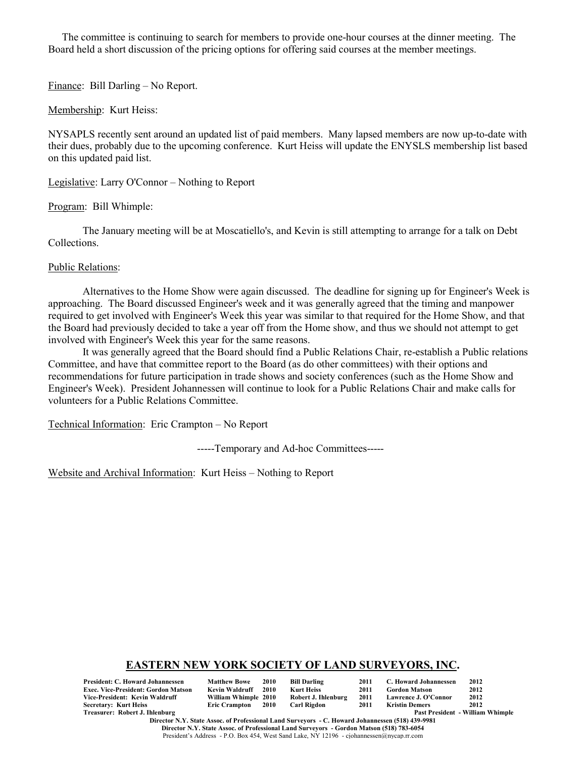The committee is continuing to search for members to provide one-hour courses at the dinner meeting. The Board held a short discussion of the pricing options for offering said courses at the member meetings.

Finance: Bill Darling – No Report.

Membership: Kurt Heiss:

NYSAPLS recently sent around an updated list of paid members. Many lapsed members are now up-to-date with their dues, probably due to the upcoming conference. Kurt Heiss will update the ENYSLS membership list based on this updated paid list.

Legislative: Larry O'Connor – Nothing to Report

Program: Bill Whimple:

The January meeting will be at Moscatiello's, and Kevin is still attempting to arrange for a talk on Debt Collections.

Public Relations:

Alternatives to the Home Show were again discussed. The deadline for signing up for Engineer's Week is approaching. The Board discussed Engineer's week and it was generally agreed that the timing and manpower required to get involved with Engineer's Week this year was similar to that required for the Home Show, and that the Board had previously decided to take a year off from the Home show, and thus we should not attempt to get involved with Engineer's Week this year for the same reasons.

It was generally agreed that the Board should find a Public Relations Chair, re-establish a Public relations Committee, and have that committee report to the Board (as do other committees) with their options and recommendations for future participation in trade shows and society conferences (such as the Home Show and Engineer's Week). President Johannessen will continue to look for a Public Relations Chair and make calls for volunteers for a Public Relations Committee.

Technical Information: Eric Crampton – No Report

-----Temporary and Ad-hoc Committees-----

Website and Archival Information: Kurt Heiss – Nothing to Report

### **EASTERN NEW YORK SOCIETY OF LAND SURVEYORS, INC.**

| <b>President: C. Howard Johannessen</b>    | <b>Matthew Bowe</b>  | 2010 | Bill Darling        | 2011 | C. Howard Johannessen | 2012                             |
|--------------------------------------------|----------------------|------|---------------------|------|-----------------------|----------------------------------|
| <b>Exec. Vice-President: Gordon Matson</b> | Kevin Waldruff       | 2010 | Kurt Heiss          | 2011 | <b>Gordon Matson</b>  | 2012                             |
| Vice-President: Kevin Waldruff             | William Whimple 2010 |      | Robert J. Ihlenburg | 2011 | Lawrence J. O'Connor  | 2012                             |
| <b>Secretary: Kurt Heiss</b>               | Eric Crampton 2010   |      | Carl Rigdon         | 2011 | Kristin Demers        | 2012                             |
| Treasurer: Robert J. Ihlenburg             |                      |      |                     |      |                       | Past President - William Whimple |

**Director N.Y. State Assoc. of Professional Land Surveyors - C. Howard Johannessen (518) 439-9981 Director N.Y. State Assoc. of Professional Land Surveyors - Gordon Matson (518) 783-6054** President's Address - P.O. Box 454, West Sand Lake, NY 12196 - cjohannessen@nycap.rr.com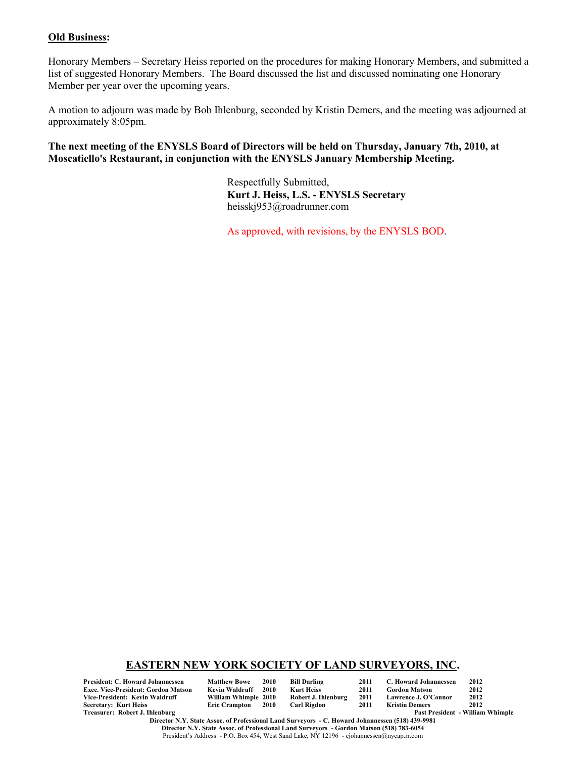#### **Old Business:**

Honorary Members – Secretary Heiss reported on the procedures for making Honorary Members, and submitted a list of suggested Honorary Members. The Board discussed the list and discussed nominating one Honorary Member per year over the upcoming years.

A motion to adjourn was made by Bob Ihlenburg, seconded by Kristin Demers, and the meeting was adjourned at approximately 8:05pm.

**The next meeting of the ENYSLS Board of Directors will be held on Thursday, January 7th, 2010, at Moscatiello's Restaurant, in conjunction with the ENYSLS January Membership Meeting.**

> Respectfully Submitted, **Kurt J. Heiss, L.S. - ENYSLS Secretary** heisskj953@roadrunner.com

As approved, with revisions, by the ENYSLS BOD.

### **EASTERN NEW YORK SOCIETY OF LAND SURVEYORS, INC.**

**President: C. Howard Johannessen Matthew Bowe 2010 Bill Darling 2011 C. Howard Johannessen 2012 Exec. Vice-President: Gordon Matson Kevin Waldruff 2010 Kurt Heiss<br>Vice-President: Kevin Waldruff Milliam Whimple 2010 Robert J. Ihlenburg Vice-President: Kevin Waldruff William Whimple 2010 Robert J. Ihlenburg 2011 Lawrence J. O'Connor 2012 Secretary: Kurt Heiss<br>Treasurer: Robert J. Ihlenburg** 

Past President - William Whimple

**Director N.Y. State Assoc. of Professional Land Surveyors - C. Howard Johannessen (518) 439-9981 Director N.Y. State Assoc. of Professional Land Surveyors - Gordon Matson (518) 783-6054** President's Address - P.O. Box 454, West Sand Lake, NY 12196 - cjohannessen@nycap.rr.com